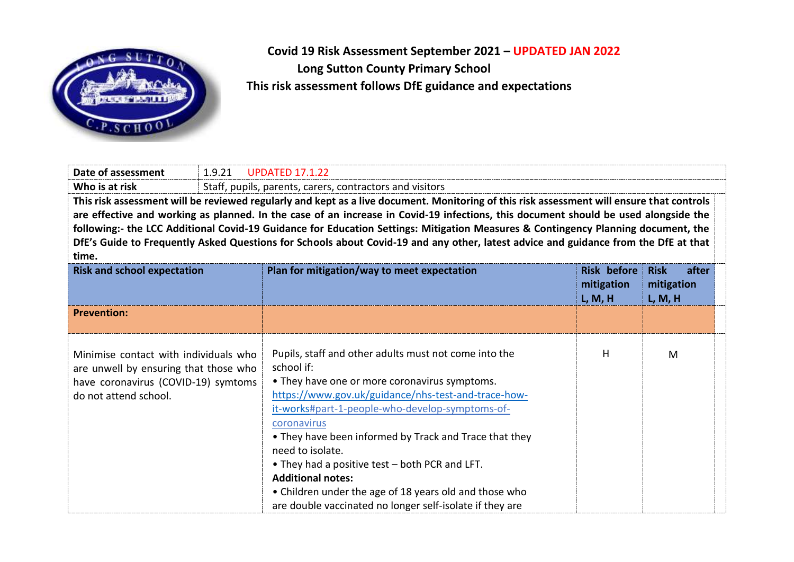

 **Covid 19 Risk Assessment September 2021 – UPDATED JAN 2022 Long Sutton County Primary School This risk assessment follows DfE guidance and expectations**

| Date of assessment                                                                                                                                                                                                                                                               | 1.9.21                                                   | <b>UPDATED 17.1.22</b>                                                                                                                                                                                                                                                                                                                                                                                                                                                                                                          |                                             |                                               |  |
|----------------------------------------------------------------------------------------------------------------------------------------------------------------------------------------------------------------------------------------------------------------------------------|----------------------------------------------------------|---------------------------------------------------------------------------------------------------------------------------------------------------------------------------------------------------------------------------------------------------------------------------------------------------------------------------------------------------------------------------------------------------------------------------------------------------------------------------------------------------------------------------------|---------------------------------------------|-----------------------------------------------|--|
| Who is at risk                                                                                                                                                                                                                                                                   | Staff, pupils, parents, carers, contractors and visitors |                                                                                                                                                                                                                                                                                                                                                                                                                                                                                                                                 |                                             |                                               |  |
| This risk assessment will be reviewed regularly and kept as a live document. Monitoring of this risk assessment will ensure that controls<br>are effective and working as planned. In the case of an increase in Covid-19 infections, this document should be used alongside the |                                                          |                                                                                                                                                                                                                                                                                                                                                                                                                                                                                                                                 |                                             |                                               |  |
|                                                                                                                                                                                                                                                                                  |                                                          | following:- the LCC Additional Covid-19 Guidance for Education Settings: Mitigation Measures & Contingency Planning document, the                                                                                                                                                                                                                                                                                                                                                                                               |                                             |                                               |  |
|                                                                                                                                                                                                                                                                                  |                                                          | DfE's Guide to Frequently Asked Questions for Schools about Covid-19 and any other, latest advice and guidance from the DfE at that                                                                                                                                                                                                                                                                                                                                                                                             |                                             |                                               |  |
| time.                                                                                                                                                                                                                                                                            |                                                          |                                                                                                                                                                                                                                                                                                                                                                                                                                                                                                                                 |                                             |                                               |  |
| <b>Risk and school expectation</b>                                                                                                                                                                                                                                               |                                                          | Plan for mitigation/way to meet expectation                                                                                                                                                                                                                                                                                                                                                                                                                                                                                     | <b>Risk before</b><br>mitigation<br>L, M, H | after<br><b>Risk</b><br>mitigation<br>L, M, H |  |
| <b>Prevention:</b>                                                                                                                                                                                                                                                               |                                                          |                                                                                                                                                                                                                                                                                                                                                                                                                                                                                                                                 |                                             |                                               |  |
| Minimise contact with individuals who<br>are unwell by ensuring that those who<br>have coronavirus (COVID-19) symtoms<br>do not attend school.                                                                                                                                   |                                                          | Pupils, staff and other adults must not come into the<br>school if:<br>• They have one or more coronavirus symptoms.<br>https://www.gov.uk/guidance/nhs-test-and-trace-how-<br>it-works#part-1-people-who-develop-symptoms-of-<br>coronavirus<br>• They have been informed by Track and Trace that they<br>need to isolate.<br>• They had a positive test – both PCR and LFT.<br><b>Additional notes:</b><br>• Children under the age of 18 years old and those who<br>are double vaccinated no longer self-isolate if they are | н                                           | M                                             |  |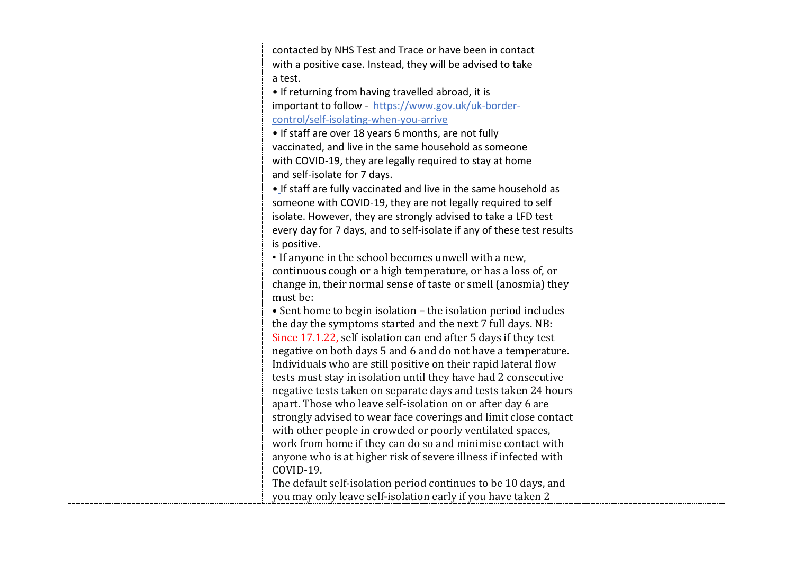| contacted by NHS Test and Trace or have been in contact                      |  |
|------------------------------------------------------------------------------|--|
| with a positive case. Instead, they will be advised to take                  |  |
| a test.                                                                      |  |
| . If returning from having travelled abroad, it is                           |  |
| important to follow - https://www.gov.uk/uk-border-                          |  |
| control/self-isolating-when-you-arrive                                       |  |
| • If staff are over 18 years 6 months, are not fully                         |  |
| vaccinated, and live in the same household as someone                        |  |
| with COVID-19, they are legally required to stay at home                     |  |
| and self-isolate for 7 days.                                                 |  |
| . If staff are fully vaccinated and live in the same household as            |  |
| someone with COVID-19, they are not legally required to self                 |  |
| isolate. However, they are strongly advised to take a LFD test               |  |
| every day for 7 days, and to self-isolate if any of these test results       |  |
| is positive.                                                                 |  |
| • If anyone in the school becomes unwell with a new,                         |  |
| continuous cough or a high temperature, or has a loss of, or                 |  |
| change in, their normal sense of taste or smell (anosmia) they               |  |
| must be:                                                                     |  |
| • Sent home to begin isolation - the isolation period includes               |  |
| the day the symptoms started and the next 7 full days. NB:                   |  |
| Since 17.1.22, self isolation can end after 5 days if they test              |  |
| negative on both days 5 and 6 and do not have a temperature.                 |  |
| Individuals who are still positive on their rapid lateral flow               |  |
| tests must stay in isolation until they have had 2 consecutive               |  |
| negative tests taken on separate days and tests taken 24 hours               |  |
| apart. Those who leave self-isolation on or after day 6 are                  |  |
| strongly advised to wear face coverings and limit close contact              |  |
| with other people in crowded or poorly ventilated spaces,                    |  |
| work from home if they can do so and minimise contact with                   |  |
| anyone who is at higher risk of severe illness if infected with<br>COVID-19. |  |
| The default self-isolation period continues to be 10 days, and               |  |
| you may only leave self-isolation early if you have taken 2                  |  |
|                                                                              |  |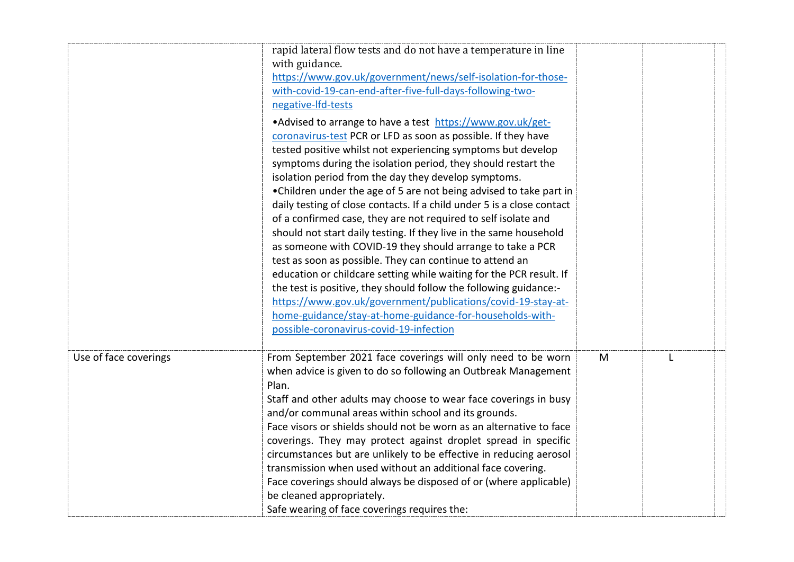|                       | rapid lateral flow tests and do not have a temperature in line         |   |   |
|-----------------------|------------------------------------------------------------------------|---|---|
|                       | with guidance.                                                         |   |   |
|                       | https://www.gov.uk/government/news/self-isolation-for-those-           |   |   |
|                       | with-covid-19-can-end-after-five-full-days-following-two-              |   |   |
|                       | negative-Ifd-tests                                                     |   |   |
|                       | • Advised to arrange to have a test https://www.gov.uk/get-            |   |   |
|                       | coronavirus-test PCR or LFD as soon as possible. If they have          |   |   |
|                       | tested positive whilst not experiencing symptoms but develop           |   |   |
|                       | symptoms during the isolation period, they should restart the          |   |   |
|                       | isolation period from the day they develop symptoms.                   |   |   |
|                       | • Children under the age of 5 are not being advised to take part in    |   |   |
|                       | daily testing of close contacts. If a child under 5 is a close contact |   |   |
|                       | of a confirmed case, they are not required to self isolate and         |   |   |
|                       | should not start daily testing. If they live in the same household     |   |   |
|                       | as someone with COVID-19 they should arrange to take a PCR             |   |   |
|                       | test as soon as possible. They can continue to attend an               |   |   |
|                       | education or childcare setting while waiting for the PCR result. If    |   |   |
|                       | the test is positive, they should follow the following guidance:-      |   |   |
|                       | https://www.gov.uk/government/publications/covid-19-stay-at-           |   |   |
|                       | home-guidance/stay-at-home-guidance-for-households-with-               |   |   |
|                       | possible-coronavirus-covid-19-infection                                |   |   |
| Use of face coverings | From September 2021 face coverings will only need to be worn           | M | L |
|                       | when advice is given to do so following an Outbreak Management         |   |   |
|                       | Plan.                                                                  |   |   |
|                       | Staff and other adults may choose to wear face coverings in busy       |   |   |
|                       | and/or communal areas within school and its grounds.                   |   |   |
|                       | Face visors or shields should not be worn as an alternative to face    |   |   |
|                       | coverings. They may protect against droplet spread in specific         |   |   |
|                       | circumstances but are unlikely to be effective in reducing aerosol     |   |   |
|                       | transmission when used without an additional face covering.            |   |   |
|                       | Face coverings should always be disposed of or (where applicable)      |   |   |
|                       | be cleaned appropriately.                                              |   |   |
|                       | Safe wearing of face coverings requires the:                           |   |   |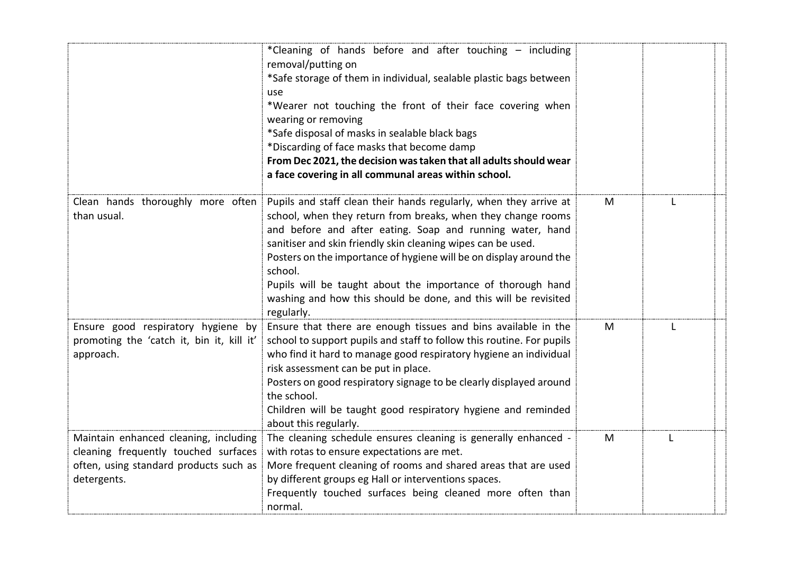|                                                                                                                                        | *Cleaning of hands before and after touching - including<br>removal/putting on<br>*Safe storage of them in individual, sealable plastic bags between<br>use<br>*Wearer not touching the front of their face covering when<br>wearing or removing<br>*Safe disposal of masks in sealable black bags<br>*Discarding of face masks that become damp                                                                                                                                                |   |   |  |
|----------------------------------------------------------------------------------------------------------------------------------------|-------------------------------------------------------------------------------------------------------------------------------------------------------------------------------------------------------------------------------------------------------------------------------------------------------------------------------------------------------------------------------------------------------------------------------------------------------------------------------------------------|---|---|--|
|                                                                                                                                        | From Dec 2021, the decision was taken that all adults should wear<br>a face covering in all communal areas within school.                                                                                                                                                                                                                                                                                                                                                                       |   |   |  |
| Clean hands thoroughly more often<br>than usual.                                                                                       | Pupils and staff clean their hands regularly, when they arrive at<br>school, when they return from breaks, when they change rooms<br>and before and after eating. Soap and running water, hand<br>sanitiser and skin friendly skin cleaning wipes can be used.<br>Posters on the importance of hygiene will be on display around the<br>school.<br>Pupils will be taught about the importance of thorough hand<br>washing and how this should be done, and this will be revisited<br>regularly. | M |   |  |
| Ensure good respiratory hygiene by<br>promoting the 'catch it, bin it, kill it'<br>approach.                                           | Ensure that there are enough tissues and bins available in the<br>school to support pupils and staff to follow this routine. For pupils<br>who find it hard to manage good respiratory hygiene an individual<br>risk assessment can be put in place.<br>Posters on good respiratory signage to be clearly displayed around<br>the school.<br>Children will be taught good respiratory hygiene and reminded<br>about this regularly.                                                             | M | L |  |
| Maintain enhanced cleaning, including<br>cleaning frequently touched surfaces<br>often, using standard products such as<br>detergents. | The cleaning schedule ensures cleaning is generally enhanced -<br>with rotas to ensure expectations are met.<br>More frequent cleaning of rooms and shared areas that are used<br>by different groups eg Hall or interventions spaces.<br>Frequently touched surfaces being cleaned more often than<br>normal.                                                                                                                                                                                  | M | L |  |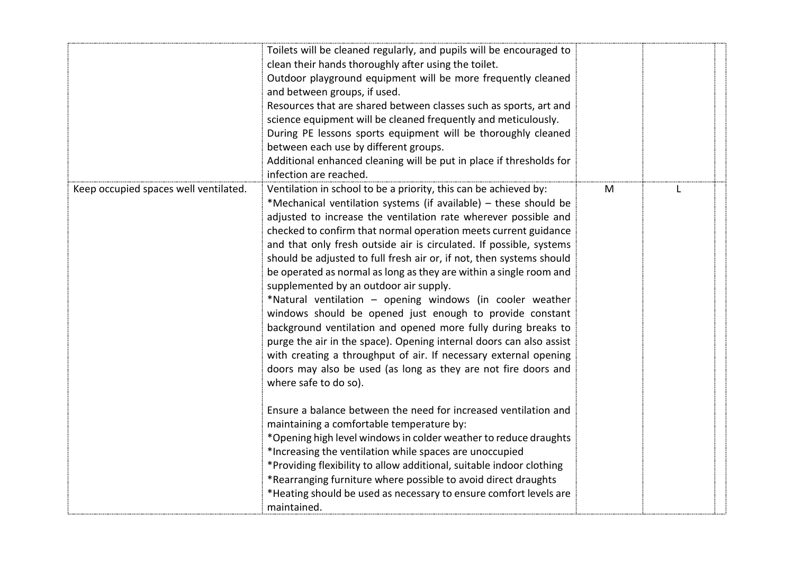|                                       | Toilets will be cleaned regularly, and pupils will be encouraged to<br>clean their hands thoroughly after using the toilet.<br>Outdoor playground equipment will be more frequently cleaned<br>and between groups, if used.<br>Resources that are shared between classes such as sports, art and<br>science equipment will be cleaned frequently and meticulously.<br>During PE lessons sports equipment will be thoroughly cleaned<br>between each use by different groups.<br>Additional enhanced cleaning will be put in place if thresholds for<br>infection are reached.                                                                                                                                                                                                                                                                                                                                                                                             |   |  |
|---------------------------------------|---------------------------------------------------------------------------------------------------------------------------------------------------------------------------------------------------------------------------------------------------------------------------------------------------------------------------------------------------------------------------------------------------------------------------------------------------------------------------------------------------------------------------------------------------------------------------------------------------------------------------------------------------------------------------------------------------------------------------------------------------------------------------------------------------------------------------------------------------------------------------------------------------------------------------------------------------------------------------|---|--|
| Keep occupied spaces well ventilated. | Ventilation in school to be a priority, this can be achieved by:<br>*Mechanical ventilation systems (if available) – these should be<br>adjusted to increase the ventilation rate wherever possible and<br>checked to confirm that normal operation meets current guidance<br>and that only fresh outside air is circulated. If possible, systems<br>should be adjusted to full fresh air or, if not, then systems should<br>be operated as normal as long as they are within a single room and<br>supplemented by an outdoor air supply.<br>*Natural ventilation - opening windows (in cooler weather<br>windows should be opened just enough to provide constant<br>background ventilation and opened more fully during breaks to<br>purge the air in the space). Opening internal doors can also assist<br>with creating a throughput of air. If necessary external opening<br>doors may also be used (as long as they are not fire doors and<br>where safe to do so). | M |  |
|                                       | Ensure a balance between the need for increased ventilation and<br>maintaining a comfortable temperature by:<br>*Opening high level windows in colder weather to reduce draughts<br>*Increasing the ventilation while spaces are unoccupied<br>*Providing flexibility to allow additional, suitable indoor clothing<br>*Rearranging furniture where possible to avoid direct draughts<br>*Heating should be used as necessary to ensure comfort levels are<br>maintained.                                                                                                                                                                                                                                                                                                                                                                                                                                                                                                 |   |  |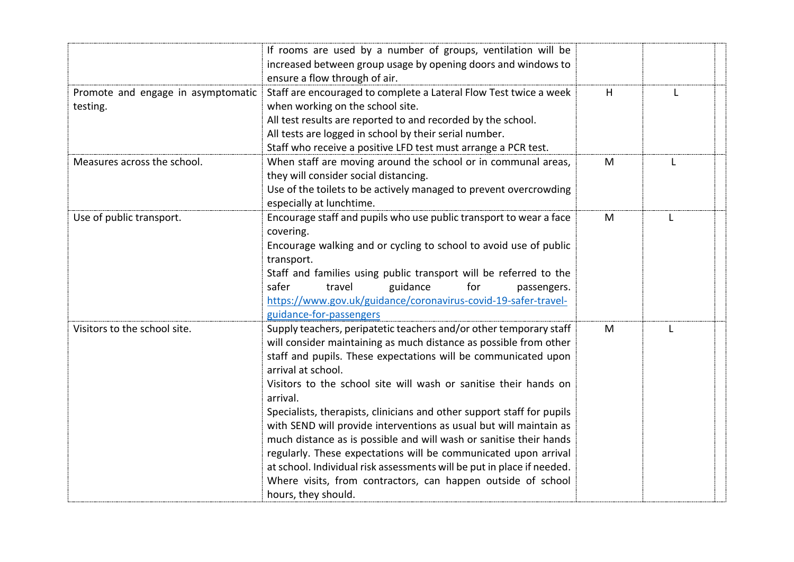|                                                | If rooms are used by a number of groups, ventilation will be<br>increased between group usage by opening doors and windows to<br>ensure a flow through of air.                                                                                                                                                                                                                                                                                                                                                                                                                                                                                                                                                                                                            |   |   |
|------------------------------------------------|---------------------------------------------------------------------------------------------------------------------------------------------------------------------------------------------------------------------------------------------------------------------------------------------------------------------------------------------------------------------------------------------------------------------------------------------------------------------------------------------------------------------------------------------------------------------------------------------------------------------------------------------------------------------------------------------------------------------------------------------------------------------------|---|---|
| Promote and engage in asymptomatic<br>testing. | Staff are encouraged to complete a Lateral Flow Test twice a week<br>when working on the school site.<br>All test results are reported to and recorded by the school.<br>All tests are logged in school by their serial number.<br>Staff who receive a positive LFD test must arrange a PCR test.                                                                                                                                                                                                                                                                                                                                                                                                                                                                         | H |   |
| Measures across the school.                    | When staff are moving around the school or in communal areas,<br>they will consider social distancing.<br>Use of the toilets to be actively managed to prevent overcrowding<br>especially at lunchtime.                                                                                                                                                                                                                                                                                                                                                                                                                                                                                                                                                                   | M | L |
| Use of public transport.                       | Encourage staff and pupils who use public transport to wear a face<br>covering.<br>Encourage walking and or cycling to school to avoid use of public<br>transport.<br>Staff and families using public transport will be referred to the<br>guidance<br>safer<br>travel<br>for<br>passengers.<br>https://www.gov.uk/guidance/coronavirus-covid-19-safer-travel-<br>guidance-for-passengers                                                                                                                                                                                                                                                                                                                                                                                 | M |   |
| Visitors to the school site.                   | Supply teachers, peripatetic teachers and/or other temporary staff<br>will consider maintaining as much distance as possible from other<br>staff and pupils. These expectations will be communicated upon<br>arrival at school.<br>Visitors to the school site will wash or sanitise their hands on<br>arrival.<br>Specialists, therapists, clinicians and other support staff for pupils<br>with SEND will provide interventions as usual but will maintain as<br>much distance as is possible and will wash or sanitise their hands<br>regularly. These expectations will be communicated upon arrival<br>at school. Individual risk assessments will be put in place if needed.<br>Where visits, from contractors, can happen outside of school<br>hours, they should. | M |   |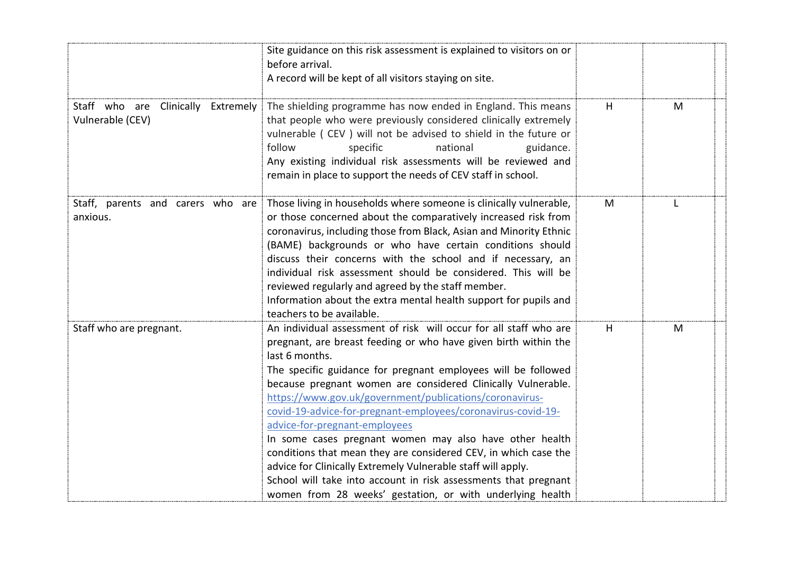|                                                        | Site guidance on this risk assessment is explained to visitors on or<br>before arrival.<br>A record will be kept of all visitors staying on site.                                                                                                                                                                                                                                                                                                                                                                                                                                                                                                                                                                                                                                 |   |   |  |
|--------------------------------------------------------|-----------------------------------------------------------------------------------------------------------------------------------------------------------------------------------------------------------------------------------------------------------------------------------------------------------------------------------------------------------------------------------------------------------------------------------------------------------------------------------------------------------------------------------------------------------------------------------------------------------------------------------------------------------------------------------------------------------------------------------------------------------------------------------|---|---|--|
| Staff who are Clinically Extremely<br>Vulnerable (CEV) | The shielding programme has now ended in England. This means<br>that people who were previously considered clinically extremely<br>vulnerable (CEV) will not be advised to shield in the future or<br>follow<br>specific<br>national<br>guidance.<br>Any existing individual risk assessments will be reviewed and<br>remain in place to support the needs of CEV staff in school.                                                                                                                                                                                                                                                                                                                                                                                                | H | M |  |
| Staff, parents and carers who are<br>anxious.          | Those living in households where someone is clinically vulnerable,<br>or those concerned about the comparatively increased risk from<br>coronavirus, including those from Black, Asian and Minority Ethnic<br>(BAME) backgrounds or who have certain conditions should<br>discuss their concerns with the school and if necessary, an<br>individual risk assessment should be considered. This will be<br>reviewed regularly and agreed by the staff member.<br>Information about the extra mental health support for pupils and<br>teachers to be available.                                                                                                                                                                                                                     | M | L |  |
| Staff who are pregnant.                                | An individual assessment of risk will occur for all staff who are<br>pregnant, are breast feeding or who have given birth within the<br>last 6 months.<br>The specific guidance for pregnant employees will be followed<br>because pregnant women are considered Clinically Vulnerable.<br>https://www.gov.uk/government/publications/coronavirus-<br>covid-19-advice-for-pregnant-employees/coronavirus-covid-19-<br>advice-for-pregnant-employees<br>In some cases pregnant women may also have other health<br>conditions that mean they are considered CEV, in which case the<br>advice for Clinically Extremely Vulnerable staff will apply.<br>School will take into account in risk assessments that pregnant<br>women from 28 weeks' gestation, or with underlying health | H | M |  |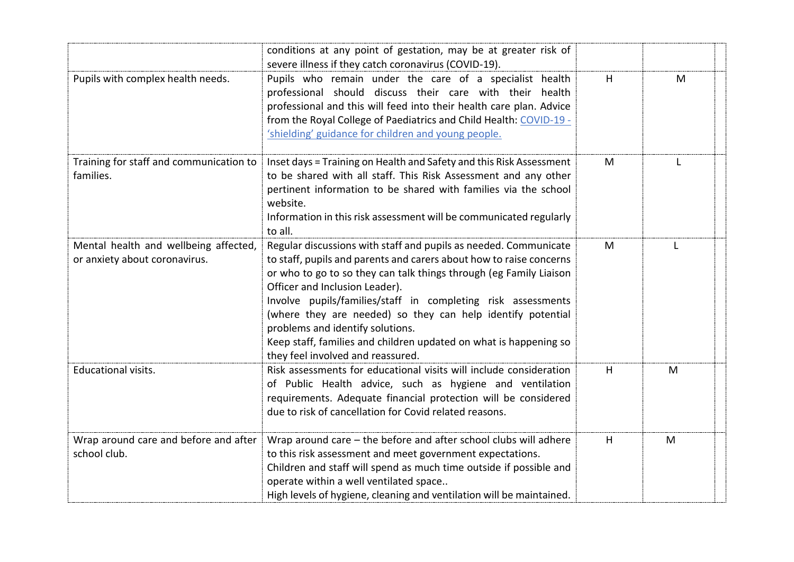|                                                                        | conditions at any point of gestation, may be at greater risk of<br>severe illness if they catch coronavirus (COVID-19).                                                                                                                                                                                                                                                                                                                                                                                                      |   |   |
|------------------------------------------------------------------------|------------------------------------------------------------------------------------------------------------------------------------------------------------------------------------------------------------------------------------------------------------------------------------------------------------------------------------------------------------------------------------------------------------------------------------------------------------------------------------------------------------------------------|---|---|
| Pupils with complex health needs.                                      | Pupils who remain under the care of a specialist health<br>professional should discuss their care with their health<br>professional and this will feed into their health care plan. Advice<br>from the Royal College of Paediatrics and Child Health: COVID-19 -<br>'shielding' guidance for children and young people.                                                                                                                                                                                                      | H | M |
| Training for staff and communication to<br>families.                   | Inset days = Training on Health and Safety and this Risk Assessment<br>to be shared with all staff. This Risk Assessment and any other<br>pertinent information to be shared with families via the school<br>website.<br>Information in this risk assessment will be communicated regularly<br>to all.                                                                                                                                                                                                                       | M |   |
| Mental health and wellbeing affected,<br>or anxiety about coronavirus. | Regular discussions with staff and pupils as needed. Communicate<br>to staff, pupils and parents and carers about how to raise concerns<br>or who to go to so they can talk things through (eg Family Liaison<br>Officer and Inclusion Leader).<br>Involve pupils/families/staff in completing risk assessments<br>(where they are needed) so they can help identify potential<br>problems and identify solutions.<br>Keep staff, families and children updated on what is happening so<br>they feel involved and reassured. | M |   |
| Educational visits.                                                    | Risk assessments for educational visits will include consideration<br>of Public Health advice, such as hygiene and ventilation<br>requirements. Adequate financial protection will be considered<br>due to risk of cancellation for Covid related reasons.                                                                                                                                                                                                                                                                   | H | M |
| Wrap around care and before and after<br>school club.                  | Wrap around care $-$ the before and after school clubs will adhere<br>to this risk assessment and meet government expectations.<br>Children and staff will spend as much time outside if possible and<br>operate within a well ventilated space<br>High levels of hygiene, cleaning and ventilation will be maintained.                                                                                                                                                                                                      | H | M |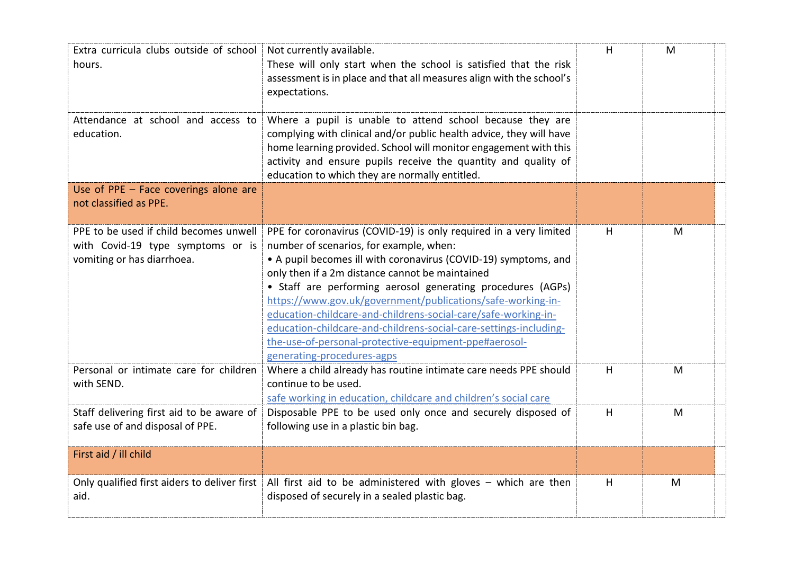| Extra curricula clubs outside of school Not currently available.<br>hours.                                | These will only start when the school is satisfied that the risk<br>assessment is in place and that all measures align with the school's<br>expectations.                                                                                                                                                                                                                                                                                                                                                                                                                                      | H | M |  |
|-----------------------------------------------------------------------------------------------------------|------------------------------------------------------------------------------------------------------------------------------------------------------------------------------------------------------------------------------------------------------------------------------------------------------------------------------------------------------------------------------------------------------------------------------------------------------------------------------------------------------------------------------------------------------------------------------------------------|---|---|--|
| Attendance at school and access to<br>education.                                                          | Where a pupil is unable to attend school because they are<br>complying with clinical and/or public health advice, they will have<br>home learning provided. School will monitor engagement with this<br>activity and ensure pupils receive the quantity and quality of<br>education to which they are normally entitled.                                                                                                                                                                                                                                                                       |   |   |  |
| Use of PPE - Face coverings alone are<br>not classified as PPE.                                           |                                                                                                                                                                                                                                                                                                                                                                                                                                                                                                                                                                                                |   |   |  |
| PPE to be used if child becomes unwell<br>with Covid-19 type symptoms or is<br>vomiting or has diarrhoea. | PPE for coronavirus (COVID-19) is only required in a very limited<br>number of scenarios, for example, when:<br>• A pupil becomes ill with coronavirus (COVID-19) symptoms, and<br>only then if a 2m distance cannot be maintained<br>• Staff are performing aerosol generating procedures (AGPs)<br>https://www.gov.uk/government/publications/safe-working-in-<br>education-childcare-and-childrens-social-care/safe-working-in-<br>education-childcare-and-childrens-social-care-settings-including-<br>the-use-of-personal-protective-equipment-ppe#aerosol-<br>generating-procedures-agps | H | M |  |
| Personal or intimate care for children<br>with SEND.                                                      | Where a child already has routine intimate care needs PPE should<br>continue to be used.<br>safe working in education, childcare and children's social care                                                                                                                                                                                                                                                                                                                                                                                                                                    | H | M |  |
| Staff delivering first aid to be aware of<br>safe use of and disposal of PPE.                             | Disposable PPE to be used only once and securely disposed of<br>following use in a plastic bin bag.                                                                                                                                                                                                                                                                                                                                                                                                                                                                                            | H | M |  |
| First aid / ill child                                                                                     |                                                                                                                                                                                                                                                                                                                                                                                                                                                                                                                                                                                                |   |   |  |
| aid.                                                                                                      | Only qualified first aiders to deliver first   All first aid to be administered with gloves $-$ which are then<br>disposed of securely in a sealed plastic bag.                                                                                                                                                                                                                                                                                                                                                                                                                                | H | M |  |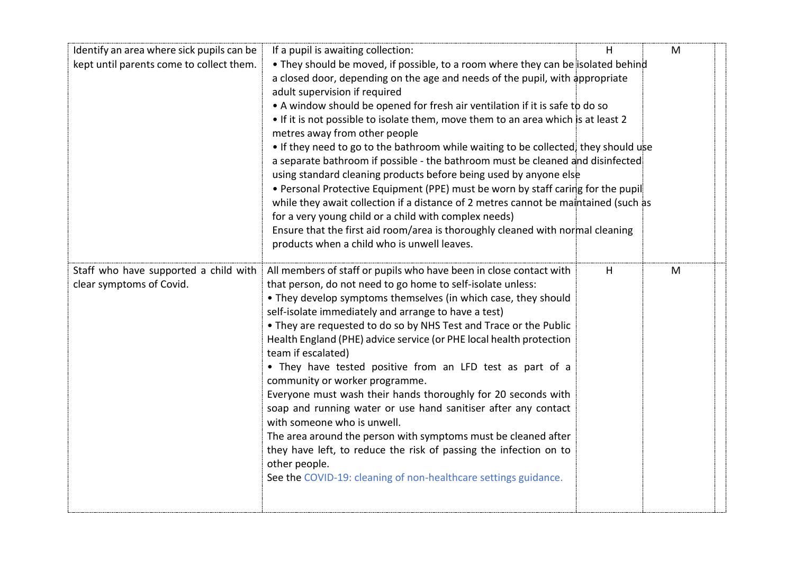| Identify an area where sick pupils can be | If a pupil is awaiting collection:                                                  | H | M |
|-------------------------------------------|-------------------------------------------------------------------------------------|---|---|
| kept until parents come to collect them.  | • They should be moved, if possible, to a room where they can be isolated behind    |   |   |
|                                           | a closed door, depending on the age and needs of the pupil, with appropriate        |   |   |
|                                           | adult supervision if required                                                       |   |   |
|                                           | • A window should be opened for fresh air ventilation if it is safe to do so        |   |   |
|                                           | • If it is not possible to isolate them, move them to an area which is at least 2   |   |   |
|                                           | metres away from other people                                                       |   |   |
|                                           | • If they need to go to the bathroom while waiting to be collected, they should use |   |   |
|                                           | a separate bathroom if possible - the bathroom must be cleaned and disinfected      |   |   |
|                                           | using standard cleaning products before being used by anyone else                   |   |   |
|                                           | • Personal Protective Equipment (PPE) must be worn by staff caring for the pupil    |   |   |
|                                           | while they await collection if a distance of 2 metres cannot be maintained (such as |   |   |
|                                           | for a very young child or a child with complex needs)                               |   |   |
|                                           | Ensure that the first aid room/area is thoroughly cleaned with normal cleaning      |   |   |
|                                           | products when a child who is unwell leaves.                                         |   |   |
| Staff who have supported a child with     | All members of staff or pupils who have been in close contact with                  | H | M |
| clear symptoms of Covid.                  | that person, do not need to go home to self-isolate unless:                         |   |   |
|                                           | • They develop symptoms themselves (in which case, they should                      |   |   |
|                                           | self-isolate immediately and arrange to have a test)                                |   |   |
|                                           | • They are requested to do so by NHS Test and Trace or the Public                   |   |   |
|                                           | Health England (PHE) advice service (or PHE local health protection                 |   |   |
|                                           | team if escalated)                                                                  |   |   |
|                                           | • They have tested positive from an LFD test as part of a                           |   |   |
|                                           | community or worker programme.                                                      |   |   |
|                                           | Everyone must wash their hands thoroughly for 20 seconds with                       |   |   |
|                                           | soap and running water or use hand sanitiser after any contact                      |   |   |
|                                           | with someone who is unwell.                                                         |   |   |
|                                           | The area around the person with symptoms must be cleaned after                      |   |   |
|                                           | they have left, to reduce the risk of passing the infection on to                   |   |   |
|                                           | other people.                                                                       |   |   |
|                                           | See the COVID-19: cleaning of non-healthcare settings guidance.                     |   |   |
|                                           |                                                                                     |   |   |
|                                           |                                                                                     |   |   |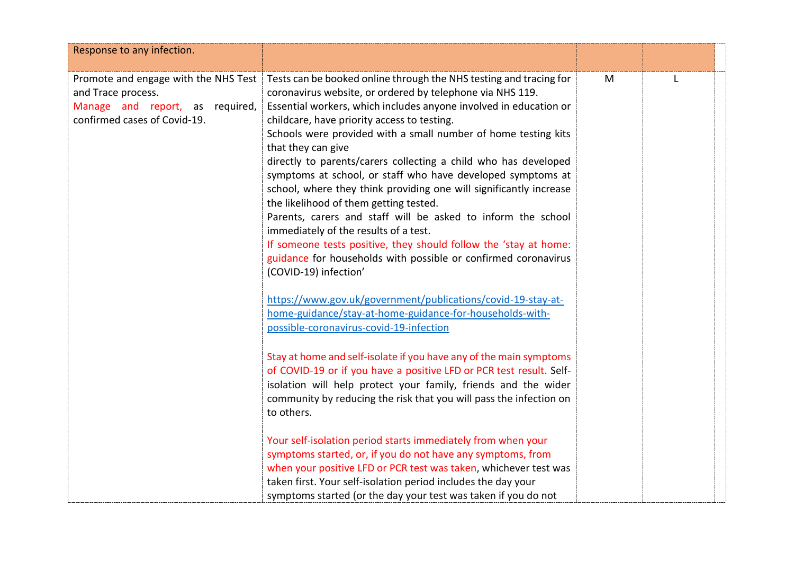| Response to any infection.                                                                                                    |                                                                                                                                                                                                                                                                                                                                                                                                                                                                                                                                                                                                                                                                                                                                                                                                                                                                       |   |  |
|-------------------------------------------------------------------------------------------------------------------------------|-----------------------------------------------------------------------------------------------------------------------------------------------------------------------------------------------------------------------------------------------------------------------------------------------------------------------------------------------------------------------------------------------------------------------------------------------------------------------------------------------------------------------------------------------------------------------------------------------------------------------------------------------------------------------------------------------------------------------------------------------------------------------------------------------------------------------------------------------------------------------|---|--|
| Promote and engage with the NHS Test<br>and Trace process.<br>Manage and report, as required,<br>confirmed cases of Covid-19. | Tests can be booked online through the NHS testing and tracing for<br>coronavirus website, or ordered by telephone via NHS 119.<br>Essential workers, which includes anyone involved in education or<br>childcare, have priority access to testing.<br>Schools were provided with a small number of home testing kits<br>that they can give<br>directly to parents/carers collecting a child who has developed<br>symptoms at school, or staff who have developed symptoms at<br>school, where they think providing one will significantly increase<br>the likelihood of them getting tested.<br>Parents, carers and staff will be asked to inform the school<br>immediately of the results of a test.<br>If someone tests positive, they should follow the 'stay at home:<br>guidance for households with possible or confirmed coronavirus<br>(COVID-19) infection' | M |  |
|                                                                                                                               | https://www.gov.uk/government/publications/covid-19-stay-at-<br>home-guidance/stay-at-home-guidance-for-households-with-<br>possible-coronavirus-covid-19-infection                                                                                                                                                                                                                                                                                                                                                                                                                                                                                                                                                                                                                                                                                                   |   |  |
|                                                                                                                               | Stay at home and self-isolate if you have any of the main symptoms<br>of COVID-19 or if you have a positive LFD or PCR test result. Self-<br>isolation will help protect your family, friends and the wider<br>community by reducing the risk that you will pass the infection on<br>to others.                                                                                                                                                                                                                                                                                                                                                                                                                                                                                                                                                                       |   |  |
|                                                                                                                               | Your self-isolation period starts immediately from when your<br>symptoms started, or, if you do not have any symptoms, from<br>when your positive LFD or PCR test was taken, whichever test was<br>taken first. Your self-isolation period includes the day your<br>symptoms started (or the day your test was taken if you do not                                                                                                                                                                                                                                                                                                                                                                                                                                                                                                                                    |   |  |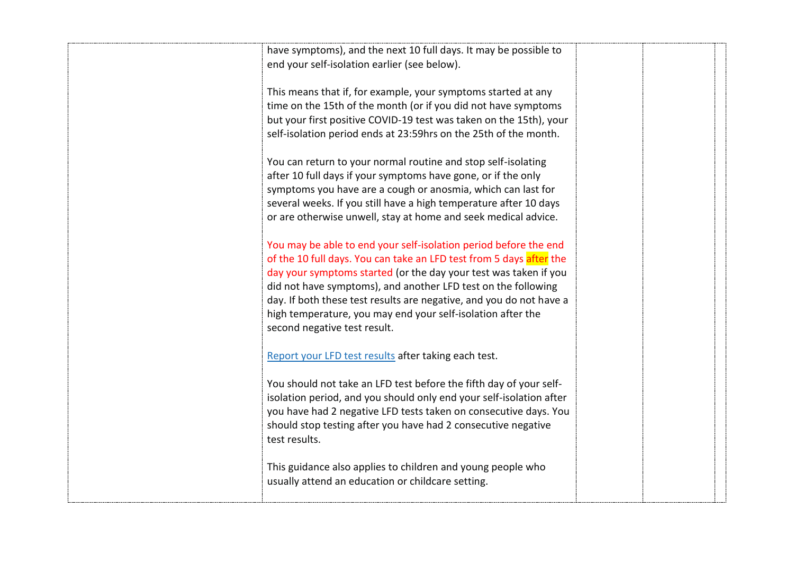| have symptoms), and the next 10 full days. It may be possible to<br>end your self-isolation earlier (see below).                                                                                                                                                                                                                                                                                                                                   |  |
|----------------------------------------------------------------------------------------------------------------------------------------------------------------------------------------------------------------------------------------------------------------------------------------------------------------------------------------------------------------------------------------------------------------------------------------------------|--|
| This means that if, for example, your symptoms started at any<br>time on the 15th of the month (or if you did not have symptoms<br>but your first positive COVID-19 test was taken on the 15th), your<br>self-isolation period ends at 23:59hrs on the 25th of the month.                                                                                                                                                                          |  |
| You can return to your normal routine and stop self-isolating<br>after 10 full days if your symptoms have gone, or if the only<br>symptoms you have are a cough or anosmia, which can last for<br>several weeks. If you still have a high temperature after 10 days<br>or are otherwise unwell, stay at home and seek medical advice.                                                                                                              |  |
| You may be able to end your self-isolation period before the end<br>of the 10 full days. You can take an LFD test from 5 days after the<br>day your symptoms started (or the day your test was taken if you<br>did not have symptoms), and another LFD test on the following<br>day. If both these test results are negative, and you do not have a<br>high temperature, you may end your self-isolation after the<br>second negative test result. |  |
| Report your LFD test results after taking each test.                                                                                                                                                                                                                                                                                                                                                                                               |  |
| You should not take an LFD test before the fifth day of your self-<br>isolation period, and you should only end your self-isolation after<br>you have had 2 negative LFD tests taken on consecutive days. You<br>should stop testing after you have had 2 consecutive negative<br>test results.                                                                                                                                                    |  |
| This guidance also applies to children and young people who<br>usually attend an education or childcare setting.                                                                                                                                                                                                                                                                                                                                   |  |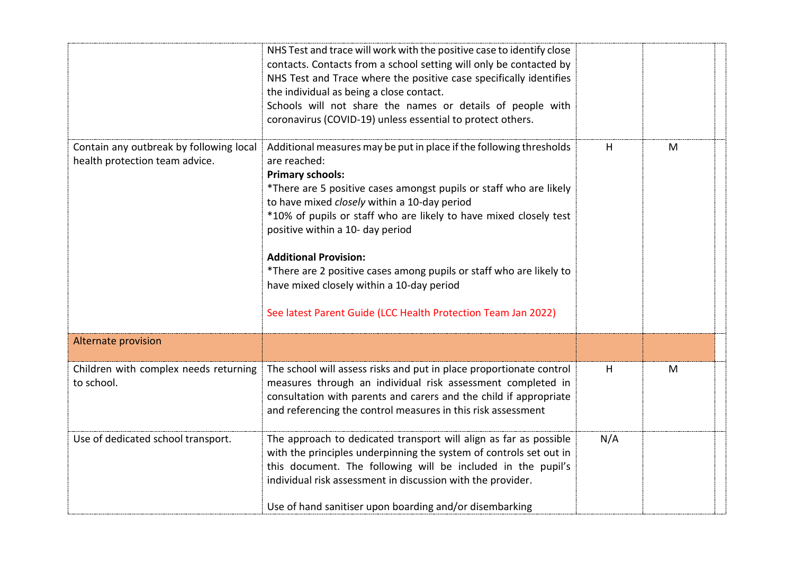|                                                                           | NHS Test and trace will work with the positive case to identify close<br>contacts. Contacts from a school setting will only be contacted by<br>NHS Test and Trace where the positive case specifically identifies<br>the individual as being a close contact.<br>Schools will not share the names or details of people with<br>coronavirus (COVID-19) unless essential to protect others.                                                                                                                                                                          |     |   |  |
|---------------------------------------------------------------------------|--------------------------------------------------------------------------------------------------------------------------------------------------------------------------------------------------------------------------------------------------------------------------------------------------------------------------------------------------------------------------------------------------------------------------------------------------------------------------------------------------------------------------------------------------------------------|-----|---|--|
| Contain any outbreak by following local<br>health protection team advice. | Additional measures may be put in place if the following thresholds<br>are reached:<br><b>Primary schools:</b><br>*There are 5 positive cases amongst pupils or staff who are likely<br>to have mixed closely within a 10-day period<br>*10% of pupils or staff who are likely to have mixed closely test<br>positive within a 10- day period<br><b>Additional Provision:</b><br>*There are 2 positive cases among pupils or staff who are likely to<br>have mixed closely within a 10-day period<br>See latest Parent Guide (LCC Health Protection Team Jan 2022) | н   | M |  |
| Alternate provision                                                       |                                                                                                                                                                                                                                                                                                                                                                                                                                                                                                                                                                    |     |   |  |
| Children with complex needs returning<br>to school.                       | The school will assess risks and put in place proportionate control<br>measures through an individual risk assessment completed in<br>consultation with parents and carers and the child if appropriate<br>and referencing the control measures in this risk assessment                                                                                                                                                                                                                                                                                            | н   | M |  |
| Use of dedicated school transport.                                        | The approach to dedicated transport will align as far as possible<br>with the principles underpinning the system of controls set out in<br>this document. The following will be included in the pupil's<br>individual risk assessment in discussion with the provider.<br>Use of hand sanitiser upon boarding and/or disembarking                                                                                                                                                                                                                                  | N/A |   |  |